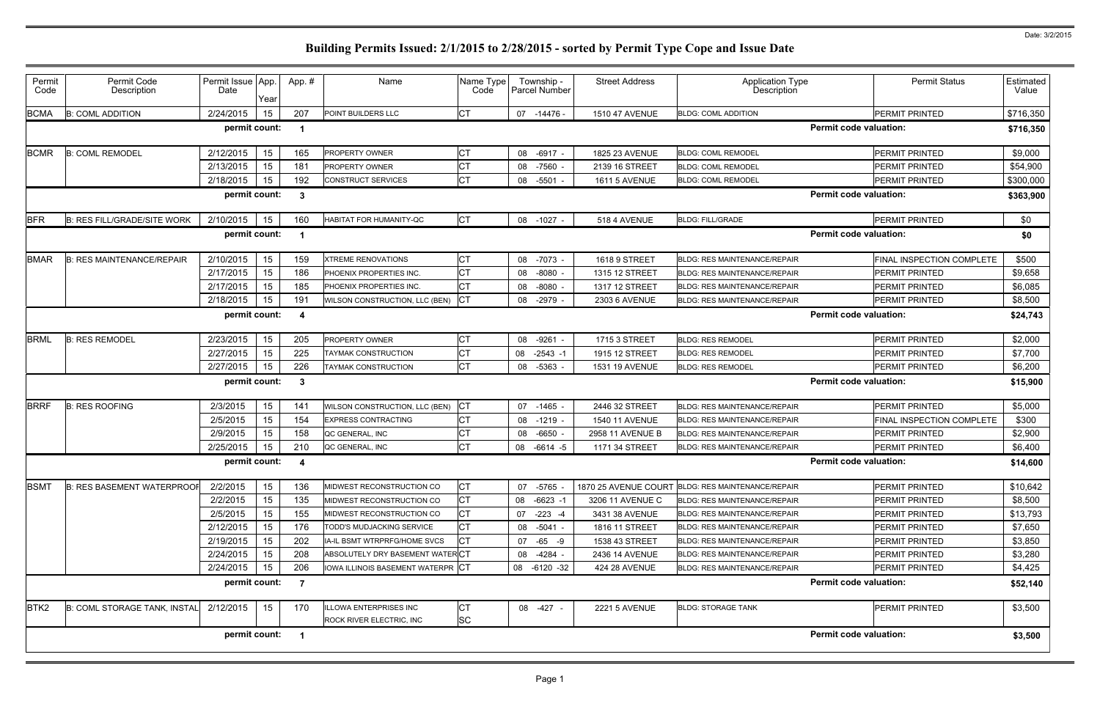| Permit<br>Code   | Permit Code<br>Description                                        | Permit Issue App.<br>Date | Year | App.#          | Name                              | Name Type<br>Code | Township -<br><b>Parcel Number</b> | <b>Street Address</b> | <b>Application Type</b><br>Description            | <b>Permit Status</b>          | Estimated<br>Value |  |
|------------------|-------------------------------------------------------------------|---------------------------|------|----------------|-----------------------------------|-------------------|------------------------------------|-----------------------|---------------------------------------------------|-------------------------------|--------------------|--|
| <b>BCMA</b>      | <b>B: COML ADDITION</b>                                           | 2/24/2015                 | 15   | 207            | POINT BUILDERS LLC                | IСТ               | 07 -14476 -                        | <b>1510 47 AVENUE</b> | <b>BLDG: COML ADDITION</b>                        | PERMIT PRINTED                | \$716,350          |  |
|                  | <b>Permit code valuation:</b><br>permit count:<br>\$716,350<br>-1 |                           |      |                |                                   |                   |                                    |                       |                                                   |                               |                    |  |
| <b>BCMR</b>      | <b>B: COML REMODEL</b>                                            | 2/12/2015                 | 15   | 165            | PROPERTY OWNER                    |                   | 08 -6917 -                         | 1825 23 AVENUE        | <b>BLDG: COML REMODEL</b>                         | <b>PERMIT PRINTED</b>         | \$9,000            |  |
|                  |                                                                   | 2/13/2015                 | 15   | 181            | PROPERTY OWNER                    |                   | -7560<br>08                        | 2139 16 STREET        | <b>BLDG: COML REMODEL</b>                         | PERMIT PRINTED                | \$54,900           |  |
|                  |                                                                   | 2/18/2015                 | 15   | 192            | CONSTRUCT SERVICES                | CТ                | $-5501$<br>08                      | 1611 5 AVENUE         | <b>BLDG: COML REMODEL</b>                         | PERMIT PRINTED                | \$300,000          |  |
|                  |                                                                   | permit count:             |      | -3             |                                   |                   |                                    |                       |                                                   | <b>Permit code valuation:</b> | \$363,900          |  |
| <b>BFR</b>       | <b>B: RES FILL/GRADE/SITE WORK</b>                                | 2/10/2015                 | 15   | 160            | HABITAT FOR HUMANITY-QC           | IСТ               | 08 -1027 -                         | 518 4 AVENUE          | <b>BLDG: FILL/GRADE</b>                           | PERMIT PRINTED                | \$0                |  |
|                  |                                                                   | permit count:             |      |                |                                   |                   |                                    |                       |                                                   | <b>Permit code valuation:</b> | \$0                |  |
| <b>BMAR</b>      | <b>B: RES MAINTENANCE/REPAIR</b>                                  | 2/10/2015                 | 15   | 159            | <b>XTREME RENOVATIONS</b>         |                   | 08 -7073 -                         | <b>1618 9 STREET</b>  | <b>BLDG: RES MAINTENANCE/REPAIR</b>               | FINAL INSPECTION COMPLETE     | \$500              |  |
|                  |                                                                   | 2/17/2015                 | 15   | 186            | PHOENIX PROPERTIES INC.           |                   | $-8080$<br>08                      | 1315 12 STREET        | <b>BLDG: RES MAINTENANCE/REPAIR</b>               | <b>PERMIT PRINTED</b>         | \$9,658            |  |
|                  |                                                                   | 2/17/2015                 | 15   | 185            | PHOENIX PROPERTIES INC.           |                   | $-8080$<br>08                      | 1317 12 STREET        | <b>BLDG: RES MAINTENANCE/REPAIR</b>               | PERMIT PRINTED                | \$6,085            |  |
|                  |                                                                   | 2/18/2015                 | 15   | 191            | WILSON CONSTRUCTION, LLC (BEN)    |                   | 08 -2979                           | 2303 6 AVENUE         | <b>BLDG: RES MAINTENANCE/REPAIR</b>               | <b>PERMIT PRINTED</b>         | \$8,500            |  |
|                  |                                                                   | permit count:             |      | 4              |                                   |                   |                                    |                       |                                                   | <b>Permit code valuation:</b> | \$24,743           |  |
| <b>BRML</b>      | <b>B: RES REMODEL</b>                                             | 2/23/2015                 | 15   | 205            | PROPERTY OWNER                    | IСТ               | 08<br>$-9261$                      | 1715 3 STREET         | <b>BLDG: RES REMODEL</b>                          | PERMIT PRINTED                | \$2,000            |  |
|                  |                                                                   | 2/27/2015                 | 15   | 225            | TAYMAK CONSTRUCTION               |                   | $-2543 - 1$<br>08                  | 1915 12 STREET        | <b>BLDG: RES REMODEL</b>                          | <b>PERMIT PRINTED</b>         | \$7,700            |  |
|                  |                                                                   | 2/27/2015                 | 15   | 226            | TAYMAK CONSTRUCTION               | Iст               | 08 - 5363                          | 1531 19 AVENUE        | <b>BLDG: RES REMODEL</b>                          | <b>PERMIT PRINTED</b>         | \$6,200            |  |
|                  |                                                                   | permit count:             |      | 3              |                                   |                   |                                    |                       |                                                   | <b>Permit code valuation:</b> | \$15,900           |  |
| <b>BRRF</b>      | <b>B: RES ROOFING</b>                                             | 2/3/2015                  | 15   | 141            | WILSON CONSTRUCTION, LLC (BEN)    | CT                | 07 -1465                           | 2446 32 STREET        | <b>BLDG: RES MAINTENANCE/REPAIR</b>               | <b>PERMIT PRINTED</b>         | \$5,000            |  |
|                  |                                                                   | 2/5/2015                  | 15   | 154            | <b>EXPRESS CONTRACTING</b>        |                   | 08 -1219 -                         | <b>1540 11 AVENUE</b> | <b>BLDG: RES MAINTENANCE/REPAIR</b>               | FINAL INSPECTION COMPLETE     | \$300              |  |
|                  |                                                                   | 2/9/2015                  | 15   | 158            | QC GENERAL, INC                   | СT                | $-6650$<br>08                      | 2958 11 AVENUE B      | <b>BLDG: RES MAINTENANCE/REPAIR</b>               | PERMIT PRINTED                | \$2,900            |  |
|                  |                                                                   | 2/25/2015                 | 15   | 210            | QC GENERAL, INC                   | Iст               | 08 -6614 -5                        | 1171 34 STREET        | <b>BLDG: RES MAINTENANCE/REPAIR</b>               | PERMIT PRINTED                | \$6,400            |  |
|                  |                                                                   | permit count:             |      | 4              |                                   |                   |                                    |                       |                                                   | <b>Permit code valuation:</b> | \$14,600           |  |
| <b>BSMT</b>      | <b>B: RES BASEMENT WATERPROOF</b>                                 | 2/2/2015                  | 15   | 136            | MIDWEST RECONSTRUCTION CO         | IСТ               | 07 -5765                           |                       | 1870 25 AVENUE COURT BLDG: RES MAINTENANCE/REPAIR | PERMIT PRINTED                | \$10,642           |  |
|                  |                                                                   | 2/2/2015                  | 15   | 135            | MIDWEST RECONSTRUCTION CO         | СT                | 08 -6623 -1                        | 3206 11 AVENUE C      | <b>BLDG: RES MAINTENANCE/REPAIR</b>               | <b>PERMIT PRINTED</b>         | \$8,500            |  |
|                  |                                                                   | 2/5/2015                  | 15   | 155            | MIDWEST RECONSTRUCTION CO         | <b>CT</b>         | 07 -223 -4                         | 3431 38 AVENUE        | <b>BLDG: RES MAINTENANCE/REPAIR</b>               | <b>PERMIT PRINTED</b>         | \$13,793           |  |
|                  |                                                                   | 2/12/2015                 | 15   | 176            | TODD'S MUDJACKING SERVICE         |                   | 08 -5041 -                         | 1816 11 STREET        | <b>BLDG: RES MAINTENANCE/REPAIR</b>               | <b>PERMIT PRINTED</b>         | \$7,650            |  |
|                  |                                                                   | 2/19/2015                 | 15   | 202            | IA-IL BSMT WTRPRFG/HOME SVCS      | СT                | 07 -65 -9                          | 1538 43 STREET        | <b>BLDG: RES MAINTENANCE/REPAIR</b>               | PERMIT PRINTED                | \$3,850            |  |
|                  |                                                                   | 2/24/2015                 | 15   | 208            | ABSOLUTELY DRY BASEMENT WATERCT   |                   | -4284 -<br>08                      | 2436 14 AVENUE        | <b>BLDG: RES MAINTENANCE/REPAIR</b>               | <b>PERMIT PRINTED</b>         | \$3,280            |  |
|                  |                                                                   | 2/24/2015                 | 15   | 206            | IOWA ILLINOIS BASEMENT WATERPR CT |                   | 08 -6120 -32                       | <b>424 28 AVENUE</b>  | <b>BLDG: RES MAINTENANCE/REPAIR</b>               | PERMIT PRINTED                | \$4,425            |  |
|                  |                                                                   | permit count:             |      | $\overline{7}$ |                                   |                   |                                    |                       |                                                   | <b>Permit code valuation:</b> | \$52,140           |  |
| BTK <sub>2</sub> | <b>B: COML STORAGE TANK, INSTAL</b>                               | 2/12/2015                 | 15   | 170            | <b>ILLOWA ENTERPRISES INC</b>     | IСТ               | 08 -427 -                          | <b>2221 5 AVENUE</b>  | <b>BLDG: STORAGE TANK</b>                         | <b>PERMIT PRINTED</b>         | \$3,500            |  |
|                  |                                                                   |                           |      |                | ROCK RIVER ELECTRIC, INC          | <b>SC</b>         |                                    |                       |                                                   |                               |                    |  |
|                  |                                                                   | permit count:             |      | $\mathbf 1$    |                                   |                   |                                    |                       |                                                   | <b>Permit code valuation:</b> | \$3,500            |  |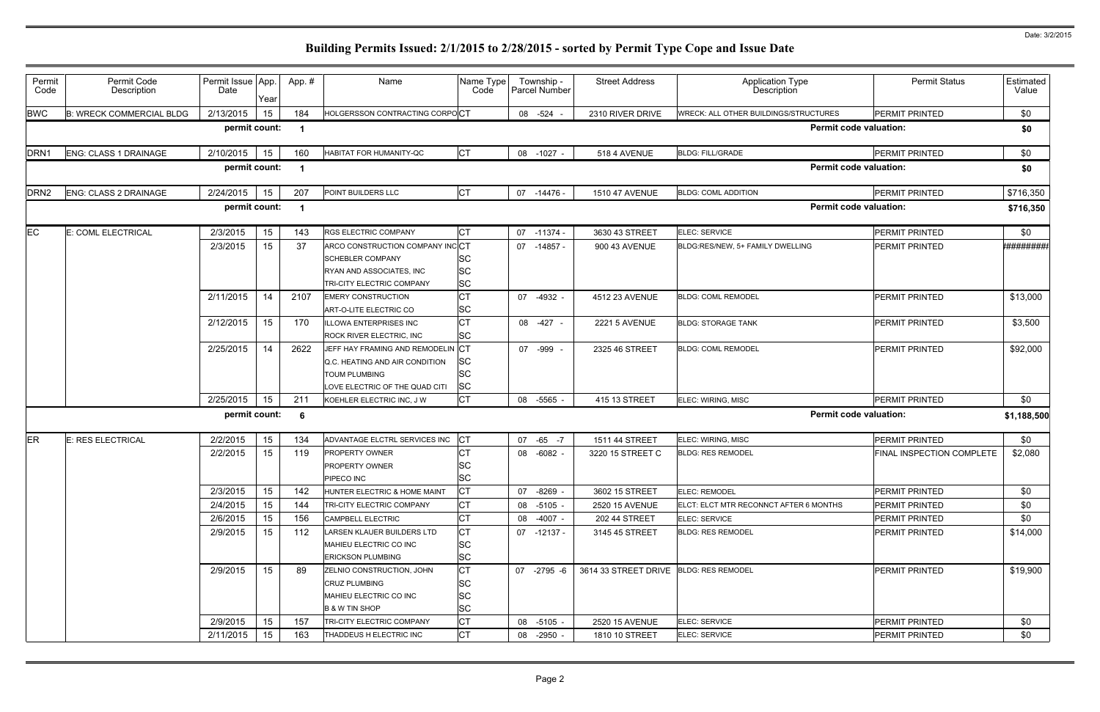| Permit<br>Code   | Permit Code<br>Description      | Permit Issue App.<br>Date | Year | App. # | Name                                                                                                                   | Name Type<br>Code                                | Township -<br>Parcel Number | <b>Street Address</b>                  | <b>Application Type</b><br>Description       | <b>Permit Status</b>      | Estimated<br>Value |
|------------------|---------------------------------|---------------------------|------|--------|------------------------------------------------------------------------------------------------------------------------|--------------------------------------------------|-----------------------------|----------------------------------------|----------------------------------------------|---------------------------|--------------------|
| <b>BWC</b>       | <b>B: WRECK COMMERCIAL BLDG</b> | 2/13/2015                 | 15   | 184    | HOLGERSSON CONTRACTING CORPOCT                                                                                         |                                                  | 08 -524                     | 2310 RIVER DRIVE                       | <b>WRECK: ALL OTHER BUILDINGS/STRUCTURES</b> | <b>PERMIT PRINTED</b>     | \$0                |
|                  |                                 | permit count:             |      | -1     |                                                                                                                        |                                                  |                             |                                        | <b>Permit code valuation:</b>                |                           | \$0                |
| DRN <sub>1</sub> | <b>ENG: CLASS 1 DRAINAGE</b>    | 2/10/2015                 | 15   | 160    | HABITAT FOR HUMANITY-QC                                                                                                | <b>CT</b>                                        | 08 -1027 -                  | 518 4 AVENUE                           | <b>BLDG: FILL/GRADE</b>                      | PERMIT PRINTED            | \$0                |
|                  |                                 | permit count:             |      |        |                                                                                                                        |                                                  |                             |                                        | <b>Permit code valuation:</b>                |                           | \$0                |
| DRN <sub>2</sub> | ENG: CLASS 2 DRAINAGE           | 2/24/2015                 | 15   | 207    | POINT BUILDERS LLC                                                                                                     | Iст                                              | 07 -14476 -                 | 1510 47 AVENUE                         | <b>BLDG: COML ADDITION</b>                   | PERMIT PRINTED            | \$716,350          |
|                  |                                 | permit count:             |      | -1     |                                                                                                                        |                                                  |                             |                                        | <b>Permit code valuation:</b>                |                           | \$716,350          |
| <b>EC</b>        | E: COML ELECTRICAL              | 2/3/2015                  | 15   | 143    | RGS ELECTRIC COMPANY                                                                                                   | <b>CT</b>                                        | 07 -11374 -                 | 3630 43 STREET                         | ELEC: SERVICE                                | <b>PERMIT PRINTED</b>     | \$0                |
|                  |                                 | 2/3/2015                  | 15   | 37     | ARCO CONSTRUCTION COMPANY INCCT<br><b>SCHEBLER COMPANY</b><br>RYAN AND ASSOCIATES, INC<br>TRI-CITY ELECTRIC COMPANY    | <b>SC</b><br><b>SC</b><br><b>SC</b>              | 07 -14857 -                 | 900 43 AVENUE                          | BLDG:RES/NEW, 5+ FAMILY DWELLING             | PERMIT PRINTED            | ,,,,,,,,,,,,,,,,,  |
|                  |                                 | 2/11/2015                 | 14   | 2107   | <b>EMERY CONSTRUCTION</b><br>ART-O-LITE ELECTRIC CO                                                                    | <b>CT</b><br><b>SC</b>                           | 07 -4932                    | 4512 23 AVENUE                         | <b>BLDG: COML REMODEL</b>                    | <b>PERMIT PRINTED</b>     | \$13,000           |
|                  |                                 | 2/12/2015                 | 15   | 170    | <b>ILLOWA ENTERPRISES INC</b><br>ROCK RIVER ELECTRIC, INC                                                              | Iст<br><b>SC</b>                                 | 08<br>-427                  | <b>2221 5 AVENUE</b>                   | <b>BLDG: STORAGE TANK</b>                    | <b>PERMIT PRINTED</b>     | \$3,500            |
|                  |                                 | 2/25/2015                 | 14   | 2622   | JEFF HAY FRAMING AND REMODELIN CT<br>Q.C. HEATING AND AIR CONDITION<br>TOUM PLUMBING<br>LOVE ELECTRIC OF THE QUAD CITI | <b>SC</b><br><b>SC</b><br><b>SC</b>              | 07 -999                     | 2325 46 STREET                         | <b>BLDG: COML REMODEL</b>                    | <b>PERMIT PRINTED</b>     | \$92,000           |
|                  |                                 | 2/25/2015                 | 15   | 211    | KOEHLER ELECTRIC INC, J W                                                                                              | СT                                               | 08 -5565                    | 415 13 STREET                          | ELEC: WIRING, MISC                           | PERMIT PRINTED            | \$0                |
|                  |                                 | permit count:             |      | 6      |                                                                                                                        |                                                  |                             |                                        | <b>Permit code valuation:</b>                |                           | \$1,188,500        |
| ER               | E: RES ELECTRICAL               | 2/2/2015                  | 15   | 134    | ADVANTAGE ELCTRL SERVICES INC                                                                                          | CТ                                               | 07 -65 -7                   | 1511 44 STREET                         | ELEC: WIRING, MISC                           | <b>PERMIT PRINTED</b>     | \$0                |
|                  |                                 | 2/2/2015                  | 15   | 119    | PROPERTY OWNER<br>PROPERTY OWNER<br>PIPECO INC                                                                         | <b>SC</b><br><b>SC</b>                           | 08 -6082                    | 3220 15 STREET C                       | <b>BLDG: RES REMODEL</b>                     | FINAL INSPECTION COMPLETE | \$2,080            |
|                  |                                 | 2/3/2015                  | 15   | 142    | HUNTER ELECTRIC & HOME MAINT                                                                                           | СŢ                                               | 07 -8269 -                  | 3602 15 STREET                         | <b>ELEC: REMODEL</b>                         | <b>PERMIT PRINTED</b>     | \$0                |
|                  |                                 | 2/4/2015                  | 15   | 144    | TRI-CITY ELECTRIC COMPANY                                                                                              | СT                                               | 08 -5105 -                  | 2520 15 AVENUE                         | ELCT: ELCT MTR RECONNCT AFTER 6 MONTHS       | <b>PERMIT PRINTED</b>     | \$0                |
|                  |                                 | 2/6/2015                  | 15   | 156    | CAMPBELL ELECTRIC                                                                                                      | СT                                               | $-4007 -$<br>08             | 202 44 STREET                          | <b>ELEC: SERVICE</b>                         | <b>PERMIT PRINTED</b>     | \$0                |
|                  |                                 | 2/9/2015                  | 15   | 112    | LARSEN KLAUER BUILDERS LTD<br>MAHIEU ELECTRIC CO INC<br><b>ERICKSON PLUMBING</b>                                       | СT<br><b>SC</b><br><b>SC</b>                     | 07 -12137 -                 | 3145 45 STREET                         | <b>BLDG: RES REMODEL</b>                     | <b>PERMIT PRINTED</b>     | \$14,000           |
|                  |                                 | 2/9/2015                  | 15   | 89     | ZELNIO CONSTRUCTION, JOHN<br><b>CRUZ PLUMBING</b><br>MAHIEU ELECTRIC CO INC<br><b>B &amp; W TIN SHOP</b>               | <b>CT</b><br><b>SC</b><br><b>SC</b><br><b>SC</b> | 07 -2795 -6                 | 3614 33 STREET DRIVE BLDG: RES REMODEL |                                              | <b>PERMIT PRINTED</b>     | \$19,900           |
|                  |                                 | 2/9/2015                  | 15   | 157    | TRI-CITY ELECTRIC COMPANY                                                                                              | <b>CT</b>                                        | 08 -5105 -                  | 2520 15 AVENUE                         | ELEC: SERVICE                                | <b>PERMIT PRINTED</b>     | \$0                |
|                  |                                 | 2/11/2015                 | 15   | 163    | THADDEUS H ELECTRIC INC                                                                                                | IСТ                                              | 08 -2950 -                  | 1810 10 STREET                         | ELEC: SERVICE                                | <b>PERMIT PRINTED</b>     | \$0                |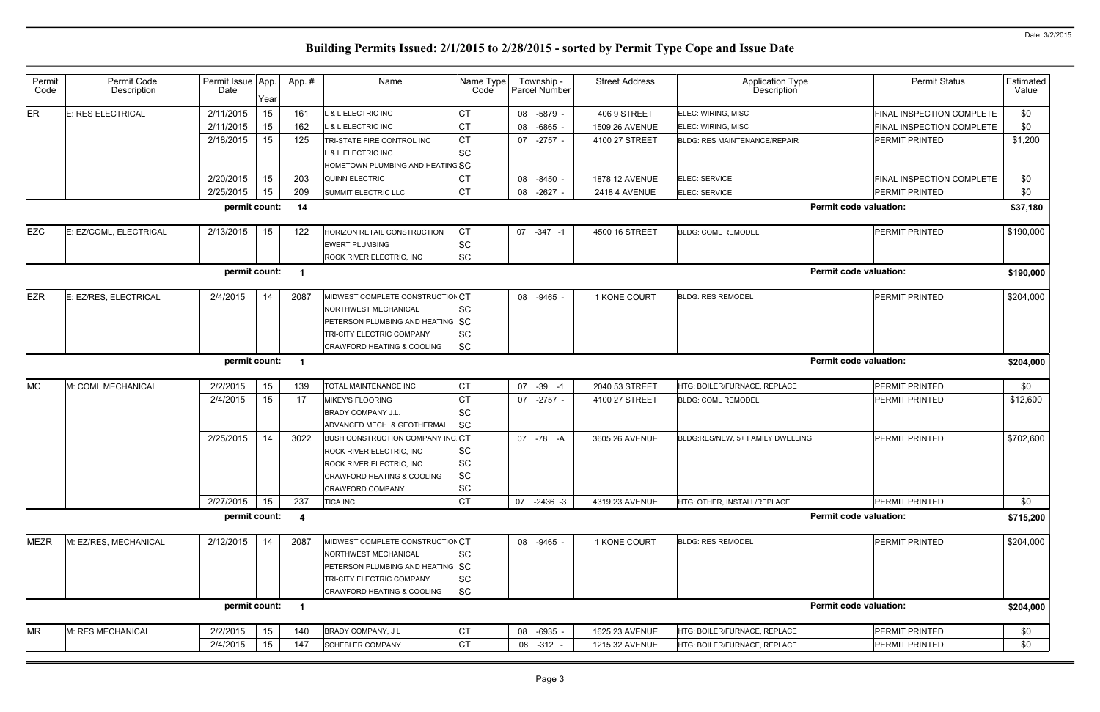| <b>Permit Status</b><br>Estimated<br>Value<br>FINAL INSPECTION COMPLETE<br>\$0<br>\$0<br><b>FINAL INSPECTION COMPLETE</b><br>\$1,200<br>PERMIT PRINTED<br>\$0<br>FINAL INSPECTION COMPLETE<br>\$0<br><b>PERMIT PRINTED</b><br><b>Permit code valuation:</b><br>\$37,180<br>PERMIT PRINTED<br>\$190,000<br><b>Permit code valuation:</b><br>\$190,000<br>PERMIT PRINTED<br>\$204,000<br><b>Permit code valuation:</b><br>\$204,000<br>PERMIT PRINTED<br>\$0<br>\$12,600<br>PERMIT PRINTED<br>\$702,600<br><b>PERMIT PRINTED</b><br>\$0<br><b>PERMIT PRINTED</b><br><b>Permit code valuation:</b><br>\$715,200<br><b>PERMIT PRINTED</b><br>\$204,000<br><b>Permit code valuation:</b><br>\$204,000<br>\$0<br>PERMIT PRINTED<br>\$0<br>PERMIT PRINTED |   |  |
|----------------------------------------------------------------------------------------------------------------------------------------------------------------------------------------------------------------------------------------------------------------------------------------------------------------------------------------------------------------------------------------------------------------------------------------------------------------------------------------------------------------------------------------------------------------------------------------------------------------------------------------------------------------------------------------------------------------------------------------------------|---|--|
|                                                                                                                                                                                                                                                                                                                                                                                                                                                                                                                                                                                                                                                                                                                                                    |   |  |
|                                                                                                                                                                                                                                                                                                                                                                                                                                                                                                                                                                                                                                                                                                                                                    |   |  |
|                                                                                                                                                                                                                                                                                                                                                                                                                                                                                                                                                                                                                                                                                                                                                    |   |  |
|                                                                                                                                                                                                                                                                                                                                                                                                                                                                                                                                                                                                                                                                                                                                                    |   |  |
|                                                                                                                                                                                                                                                                                                                                                                                                                                                                                                                                                                                                                                                                                                                                                    |   |  |
|                                                                                                                                                                                                                                                                                                                                                                                                                                                                                                                                                                                                                                                                                                                                                    |   |  |
|                                                                                                                                                                                                                                                                                                                                                                                                                                                                                                                                                                                                                                                                                                                                                    |   |  |
|                                                                                                                                                                                                                                                                                                                                                                                                                                                                                                                                                                                                                                                                                                                                                    |   |  |
|                                                                                                                                                                                                                                                                                                                                                                                                                                                                                                                                                                                                                                                                                                                                                    |   |  |
|                                                                                                                                                                                                                                                                                                                                                                                                                                                                                                                                                                                                                                                                                                                                                    |   |  |
|                                                                                                                                                                                                                                                                                                                                                                                                                                                                                                                                                                                                                                                                                                                                                    |   |  |
|                                                                                                                                                                                                                                                                                                                                                                                                                                                                                                                                                                                                                                                                                                                                                    |   |  |
|                                                                                                                                                                                                                                                                                                                                                                                                                                                                                                                                                                                                                                                                                                                                                    |   |  |
|                                                                                                                                                                                                                                                                                                                                                                                                                                                                                                                                                                                                                                                                                                                                                    | 3 |  |
|                                                                                                                                                                                                                                                                                                                                                                                                                                                                                                                                                                                                                                                                                                                                                    |   |  |
|                                                                                                                                                                                                                                                                                                                                                                                                                                                                                                                                                                                                                                                                                                                                                    |   |  |
|                                                                                                                                                                                                                                                                                                                                                                                                                                                                                                                                                                                                                                                                                                                                                    |   |  |
|                                                                                                                                                                                                                                                                                                                                                                                                                                                                                                                                                                                                                                                                                                                                                    |   |  |
|                                                                                                                                                                                                                                                                                                                                                                                                                                                                                                                                                                                                                                                                                                                                                    |   |  |
|                                                                                                                                                                                                                                                                                                                                                                                                                                                                                                                                                                                                                                                                                                                                                    |   |  |

| Permit<br>Code | Permit Code<br>Description | Permit Issue App.<br>Date | Year | App. #                  | Name                             | Name Type<br>Code | Township -<br>Parcel Number | <b>Street Address</b> | Application Type<br>Description     | <b>Permit Status</b>          | Estimated<br>Value |
|----------------|----------------------------|---------------------------|------|-------------------------|----------------------------------|-------------------|-----------------------------|-----------------------|-------------------------------------|-------------------------------|--------------------|
| ER             | E: RES ELECTRICAL          | 2/11/2015                 | 15   | 161                     | L & L ELECTRIC INC               | СT                | 08 -5879 -                  | 406 9 STREET          | ELEC: WIRING, MISC                  | FINAL INSPECTION COMPLETE     | \$0                |
|                |                            | 2/11/2015                 | 15   | 162                     | L & L ELECTRIC INC               | <b>CT</b>         | 08<br>$-6865 -$             | <b>1509 26 AVENUE</b> | ELEC: WIRING, MISC                  | FINAL INSPECTION COMPLETE     | \$0                |
|                |                            | 2/18/2015                 | 15   | 125                     | TRI-STATE FIRE CONTROL INC       | <b>CT</b>         | 07 -2757 -                  | 4100 27 STREET        | <b>BLDG: RES MAINTENANCE/REPAIR</b> | <b>PERMIT PRINTED</b>         | \$1,200            |
|                |                            |                           |      |                         | <b>&amp; L ELECTRIC INC</b>      | lSC               |                             |                       |                                     |                               |                    |
|                |                            |                           |      |                         | HOMETOWN PLUMBING AND HEATINGSC  |                   |                             |                       |                                     |                               |                    |
|                |                            | 2/20/2015                 | 15   | 203                     | <b>QUINN ELECTRIC</b>            | СT                | 08<br>-8450 -               | 1878 12 AVENUE        | ELEC: SERVICE                       | FINAL INSPECTION COMPLETE     | \$0                |
|                |                            | 2/25/2015                 | 15   | 209                     | <b>SUMMIT ELECTRIC LLC</b>       | <b>CT</b>         | 08<br>$-2627 -$             | 2418 4 AVENUE         | ELEC: SERVICE                       | PERMIT PRINTED                | \$0                |
|                |                            | permit count:             |      | 14                      |                                  |                   |                             |                       |                                     | <b>Permit code valuation:</b> | \$37,180           |
| <b>EZC</b>     | E: EZ/COML, ELECTRICAL     | 2/13/2015                 | 15   | 122                     | HORIZON RETAIL CONSTRUCTION      | <b>CT</b>         | 07 -347 -1                  | 4500 16 STREET        | <b>BLDG: COML REMODEL</b>           | <b>PERMIT PRINTED</b>         | \$190,000          |
|                |                            |                           |      |                         | <b>EWERT PLUMBING</b>            | <b>SC</b>         |                             |                       |                                     |                               |                    |
|                |                            |                           |      |                         | ROCK RIVER ELECTRIC, INC         | <b>SC</b>         |                             |                       |                                     |                               |                    |
|                |                            | permit count:             |      |                         |                                  |                   |                             |                       |                                     | <b>Permit code valuation:</b> | \$190,000          |
| <b>EZR</b>     | E: EZ/RES, ELECTRICAL      | 2/4/2015                  | 14   | 2087                    | MIDWEST COMPLETE CONSTRUCTIONCT  |                   | 08 -9465 -                  | 1 KONE COURT          | <b>BLDG: RES REMODEL</b>            | <b>PERMIT PRINTED</b>         | \$204,000          |
|                |                            |                           |      |                         | NORTHWEST MECHANICAL             | SC                |                             |                       |                                     |                               |                    |
|                |                            |                           |      |                         | PETERSON PLUMBING AND HEATING SC |                   |                             |                       |                                     |                               |                    |
|                |                            |                           |      |                         | TRI-CITY ELECTRIC COMPANY        | <b>SC</b>         |                             |                       |                                     |                               |                    |
|                |                            |                           |      |                         | CRAWFORD HEATING & COOLING       | <b>SC</b>         |                             |                       |                                     |                               |                    |
|                |                            | permit count:             |      | $\overline{1}$          |                                  |                   |                             |                       |                                     | <b>Permit code valuation:</b> | \$204,000          |
| <b>MC</b>      | M: COML MECHANICAL         | 2/2/2015                  | 15   | 139                     | TOTAL MAINTENANCE INC            | <b>CT</b>         | 07 - 39 - 1                 | 2040 53 STREET        | HTG: BOILER/FURNACE, REPLACE        | <b>PERMIT PRINTED</b>         | \$0                |
|                |                            | 2/4/2015                  | 15   | 17                      | <b>MIKEY'S FLOORING</b>          | <b>CT</b>         | 07 -2757 -                  | 4100 27 STREET        | <b>BLDG: COML REMODEL</b>           | PERMIT PRINTED                | \$12,600           |
|                |                            |                           |      |                         | <b>BRADY COMPANY J.L.</b>        | lSC               |                             |                       |                                     |                               |                    |
|                |                            |                           |      |                         | ADVANCED MECH. & GEOTHERMAL      | <b>SC</b>         |                             |                       |                                     |                               |                    |
|                |                            | 2/25/2015                 | 14   | 3022                    | BUSH CONSTRUCTION COMPANY INC CT |                   | 07 -78 -A                   | 3605 26 AVENUE        | BLDG:RES/NEW, 5+ FAMILY DWELLING    | PERMIT PRINTED                | \$702,600          |
|                |                            |                           |      |                         | ROCK RIVER ELECTRIC, INC         | <b>SC</b>         |                             |                       |                                     |                               |                    |
|                |                            |                           |      |                         | ROCK RIVER ELECTRIC, INC         | <b>SC</b>         |                             |                       |                                     |                               |                    |
|                |                            |                           |      |                         | CRAWFORD HEATING & COOLING       | <b>SC</b>         |                             |                       |                                     |                               |                    |
|                |                            |                           |      |                         | <b>CRAWFORD COMPANY</b>          | <b>SC</b>         |                             |                       |                                     |                               |                    |
|                |                            | 2/27/2015                 | 15   | 237                     | <b>TICA INC</b>                  | <b>CT</b>         | 07 -2436 -3                 | 4319 23 AVENUE        | HTG: OTHER, INSTALL/REPLACE         | PERMIT PRINTED                | \$0                |
|                |                            | permit count:             |      | -4                      |                                  |                   |                             |                       |                                     | <b>Permit code valuation:</b> | \$715,200          |
| <b>MEZR</b>    | M: EZ/RES, MECHANICAL      | 2/12/2015                 | 14   | 2087                    | MIDWEST COMPLETE CONSTRUCTIONCT  |                   | 08 -9465 -                  | 1 KONE COURT          | <b>BLDG: RES REMODEL</b>            | PERMIT PRINTED                | \$204,000          |
|                |                            |                           |      |                         | NORTHWEST MECHANICAL             | <b>SC</b>         |                             |                       |                                     |                               |                    |
|                |                            |                           |      |                         | PETERSON PLUMBING AND HEATING SC |                   |                             |                       |                                     |                               |                    |
|                |                            |                           |      |                         | TRI-CITY ELECTRIC COMPANY        | lSС               |                             |                       |                                     |                               |                    |
|                |                            |                           |      |                         | CRAWFORD HEATING & COOLING       | <b>SC</b>         |                             |                       |                                     |                               |                    |
|                |                            | permit count:             |      | $\overline{\mathbf{1}}$ |                                  |                   |                             |                       |                                     | <b>Permit code valuation:</b> | \$204,000          |
| <b>MR</b>      | M: RES MECHANICAL          | 2/2/2015                  | 15   | 140                     | BRADY COMPANY, J L               | <b>CT</b>         | 08 -6935 -                  | 1625 23 AVENUE        | HTG: BOILER/FURNACE, REPLACE        | PERMIT PRINTED                | \$0                |
|                |                            | 2/4/2015                  | 15   | 147                     | <b>SCHEBLER COMPANY</b>          | <b>CT</b>         | 08 -312 -                   | 1215 32 AVENUE        | HTG: BOILER/FURNACE, REPLACE        | PERMIT PRINTED                | \$0                |
|                |                            |                           |      |                         |                                  |                   |                             |                       |                                     |                               |                    |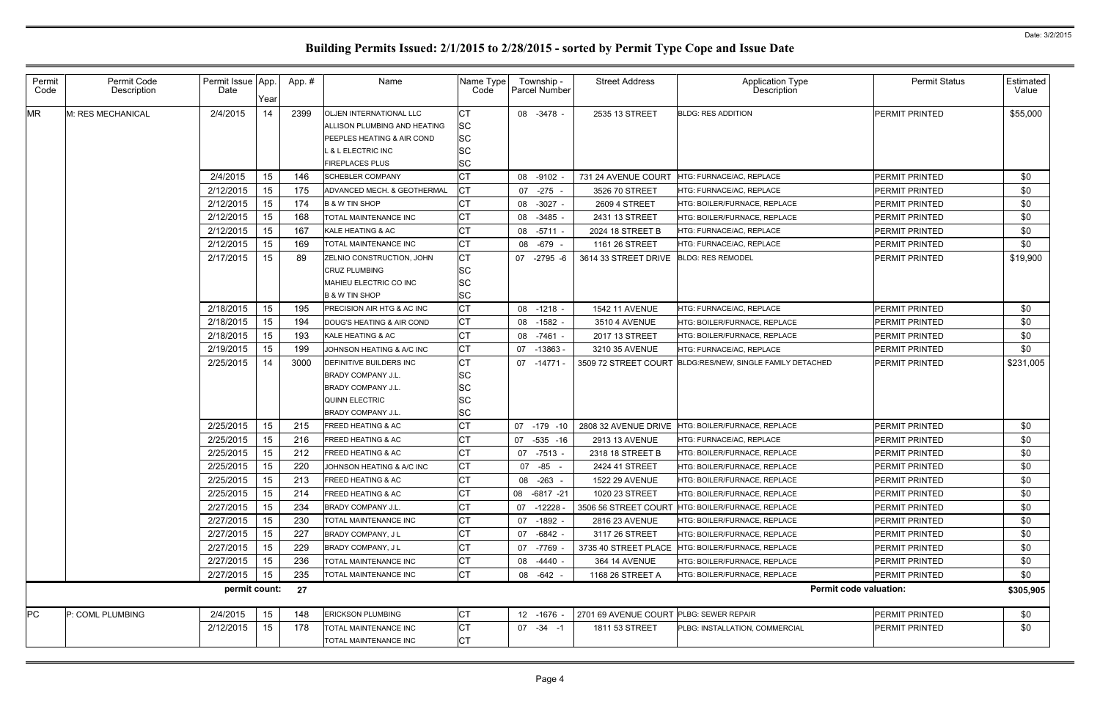| Permit<br>Code | Permit Code<br>Description | Permit Issue App.<br>Date | Year | App. # | Name                           | Name Type<br>Code | Township -<br><b>Parcel Number</b> | <b>Street Address</b>                   | <b>Application Type</b><br>Description                    | <b>Permit Status</b>          | Estimated<br>Value |
|----------------|----------------------------|---------------------------|------|--------|--------------------------------|-------------------|------------------------------------|-----------------------------------------|-----------------------------------------------------------|-------------------------------|--------------------|
| <b>MR</b>      | M: RES MECHANICAL          | 2/4/2015                  | 14   | 2399   | <b>OLJEN INTERNATIONAL LLC</b> | СT                | 08 -3478 -                         | 2535 13 STREET                          | <b>BLDG: RES ADDITION</b>                                 | <b>PERMIT PRINTED</b>         | \$55,000           |
|                |                            |                           |      |        | ALLISON PLUMBING AND HEATING   | <b>SC</b>         |                                    |                                         |                                                           |                               |                    |
|                |                            |                           |      |        | PEEPLES HEATING & AIR COND     | <b>SC</b>         |                                    |                                         |                                                           |                               |                    |
|                |                            |                           |      |        | L & L ELECTRIC INC             | <b>SC</b>         |                                    |                                         |                                                           |                               |                    |
|                |                            |                           |      |        | <b>FIREPLACES PLUS</b>         | <b>SC</b>         |                                    |                                         |                                                           |                               |                    |
|                |                            | 2/4/2015                  | 15   | 146    | <b>SCHEBLER COMPANY</b>        | <b>CT</b>         | 08 -9102                           | 731 24 AVENUE COURT                     | HTG: FURNACE/AC, REPLACE                                  | <b>PERMIT PRINTED</b>         | \$0                |
|                |                            | 2/12/2015                 | 15   | 175    | ADVANCED MECH. & GEOTHERMAL    | <b>CT</b>         | 07 -275 -                          | 3526 70 STREET                          | HTG: FURNACE/AC, REPLACE                                  | <b>PERMIT PRINTED</b>         | \$0                |
|                |                            | 2/12/2015                 | 15   | 174    | <b>B &amp; W TIN SHOP</b>      |                   | 08 -3027 -                         | 2609 4 STREET                           | HTG: BOILER/FURNACE, REPLACE                              | <b>PERMIT PRINTED</b>         | \$0                |
|                |                            | 2/12/2015                 | 15   | 168    | TOTAL MAINTENANCE INC          |                   | 08 -3485                           | 2431 13 STREET                          | HTG: BOILER/FURNACE, REPLACE                              | <b>PERMIT PRINTED</b>         | \$0                |
|                |                            | 2/12/2015                 | 15   | 167    | KALE HEATING & AC              |                   | 08 -5711                           | 2024 18 STREET B                        | HTG: FURNACE/AC, REPLACE                                  | <b>PERMIT PRINTED</b>         | \$0                |
|                |                            | 2/12/2015                 | 15   | 169    | TOTAL MAINTENANCE INC          | СT                | 08 -679                            | 1161 26 STREET                          | HTG: FURNACE/AC, REPLACE                                  | <b>PERMIT PRINTED</b>         | \$0                |
|                |                            | 2/17/2015                 | 15   | 89     | ZELNIO CONSTRUCTION, JOHN      | <b>CT</b>         | 07 -2795 -6                        | 3614 33 STREET DRIVE                    | <b>BLDG: RES REMODEL</b>                                  | <b>PERMIT PRINTED</b>         | \$19,900           |
|                |                            |                           |      |        | CRUZ PLUMBING                  | <b>SC</b>         |                                    |                                         |                                                           |                               |                    |
|                |                            |                           |      |        | MAHIEU ELECTRIC CO INC         | <b>SC</b>         |                                    |                                         |                                                           |                               |                    |
|                |                            |                           |      |        | <b>B &amp; W TIN SHOP</b>      | <b>SC</b>         |                                    |                                         |                                                           |                               |                    |
|                |                            | 2/18/2015                 | 15   | 195    | PRECISION AIR HTG & AC INC     | <b>CT</b>         | $08 - 1218 -$                      | <b>1542 11 AVENUE</b>                   | HTG: FURNACE/AC, REPLACE                                  | <b>PERMIT PRINTED</b>         | \$0                |
|                |                            | 2/18/2015                 | 15   | 194    | DOUG'S HEATING & AIR COND      | IСТ               | 08 -1582 -                         | 3510 4 AVENUE                           | HTG: BOILER/FURNACE, REPLACE                              | <b>PERMIT PRINTED</b>         | \$0                |
|                |                            | 2/18/2015                 | 15   | 193    | KALE HEATING & AC              | IСТ               | 08 -7461 -                         | 2017 13 STREET                          | HTG: BOILER/FURNACE, REPLACE                              | <b>PERMIT PRINTED</b>         | \$0                |
|                |                            | 2/19/2015                 | 15   | 199    | JOHNSON HEATING & A/C INC      | <b>CT</b>         | -13863 -<br>07                     | 3210 35 AVENUE                          | HTG: FURNACE/AC, REPLACE                                  | <b>PERMIT PRINTED</b>         | \$0                |
|                |                            | 2/25/2015                 | 14   | 3000   | DEFINITIVE BUILDERS INC        | IСТ               | 07 -14771                          |                                         | 3509 72 STREET COURT BLDG:RES/NEW, SINGLE FAMILY DETACHED | <b>PERMIT PRINTED</b>         | \$231,005          |
|                |                            |                           |      |        | <b>BRADY COMPANY J.L.</b>      | <b>SC</b>         |                                    |                                         |                                                           |                               |                    |
|                |                            |                           |      |        | <b>BRADY COMPANY J.L.</b>      | <b>SC</b>         |                                    |                                         |                                                           |                               |                    |
|                |                            |                           |      |        | <b>QUINN ELECTRIC</b>          | <b>SC</b>         |                                    |                                         |                                                           |                               |                    |
|                |                            |                           |      |        | <b>BRADY COMPANY J.L.</b>      | <b>SC</b>         |                                    |                                         |                                                           |                               |                    |
|                |                            | 2/25/2015                 | 15   | 215    | <b>FREED HEATING &amp; AC</b>  |                   | -179 -10<br>07                     | 2808 32 AVENUE DRIVE                    | HTG: BOILER/FURNACE. REPLACE                              | <b>PERMIT PRINTED</b>         | \$0                |
|                |                            | 2/25/2015                 | 15   | 216    | <b>FREED HEATING &amp; AC</b>  |                   | 07 -535 -16                        | 2913 13 AVENUE                          | HTG: FURNACE/AC. REPLACE                                  | <b>PERMIT PRINTED</b>         | \$0                |
|                |                            | 2/25/2015                 | 15   | 212    | <b>FREED HEATING &amp; AC</b>  |                   | 07 -7513 -                         | 2318 18 STREET B                        | <b>HTG: BOILER/FURNACE. REPLACE</b>                       | <b>PERMIT PRINTED</b>         | \$0                |
|                |                            | 2/25/2015                 | 15   | 220    | JOHNSON HEATING & A/C INC      | СT                | 07 -85 -                           | 2424 41 STREET                          | HTG: BOILER/FURNACE, REPLACE                              | <b>PERMIT PRINTED</b>         | \$0                |
|                |                            | 2/25/2015                 | 15   | 213    | <b>FREED HEATING &amp; AC</b>  |                   | 08 -263 -                          | 1522 29 AVENUE                          | HTG: BOILER/FURNACE, REPLACE                              | PERMIT PRINTED                | \$0                |
|                |                            | 2/25/2015                 | 15   | 214    | FREED HEATING & AC             |                   | 08 -6817 -21                       | 1020 23 STREET                          | HTG: BOILER/FURNACE, REPLACE                              | PERMIT PRINTED                | \$0                |
|                |                            | 2/27/2015                 | 15   | 234    | <b>BRADY COMPANY J.L.</b>      |                   | 07 -12228                          |                                         | 3506 56 STREET COURT HTG: BOILER/FURNACE, REPLACE         | <b>PERMIT PRINTED</b>         | \$0                |
|                |                            | 2/27/2015                 | 15   | 230    | TOTAL MAINTENANCE INC          | СT                | 07 -1892 -                         | 2816 23 AVENUE                          | HTG: BOILER/FURNACE, REPLACE                              | PERMIT PRINTED                | \$0                |
|                |                            | 2/27/2015                 | 15   | 227    | BRADY COMPANY, J L             |                   | $-6842 -$<br>07                    | 3117 26 STREET                          | HTG: BOILER/FURNACE, REPLACE                              | PERMIT PRINTED                | \$0                |
|                |                            | 2/27/2015                 | 15   | 229    | BRADY COMPANY, J L             |                   | 07 -7769                           | 3735 40 STREET PLACE                    | HTG: BOILER/FURNACE, REPLACE                              | PERMIT PRINTED                | \$0                |
|                |                            | 2/27/2015                 | 15   | 236    | TOTAL MAINTENANCE INC          |                   | 08 -4440 -                         | 364 14 AVENUE                           | <b>HTG: BOILER/FURNACE, REPLACE</b>                       | <b>PERMIT PRINTED</b>         | \$0                |
|                |                            | 2/27/2015                 | 15   | 235    | TOTAL MAINTENANCE INC          | СT                | 08 - 642 -                         | 1168 26 STREET A                        | HTG: BOILER/FURNACE, REPLACE                              | <b>PERMIT PRINTED</b>         | \$0                |
|                |                            | permit count:             |      | 27     |                                |                   |                                    |                                         |                                                           | <b>Permit code valuation:</b> | \$305,905          |
| <b>PC</b>      | P: COML PLUMBING           | 2/4/2015                  | 15   | 148    | <b>ERICKSON PLUMBING</b>       | СT                | 12 -1676                           | 2701 69 AVENUE COURT PLBG: SEWER REPAIR |                                                           | PERMIT PRINTED                | \$0                |
|                |                            | 2/12/2015                 | 15   | 178    | TOTAL MAINTENANCE INC          | IСТ               | $07 - 34 - 1$                      | 1811 53 STREET                          | PLBG: INSTALLATION, COMMERCIAL                            | PERMIT PRINTED                | \$0                |
|                |                            |                           |      |        | TOTAL MAINTENANCE INC          | <b>CT</b>         |                                    |                                         |                                                           |                               |                    |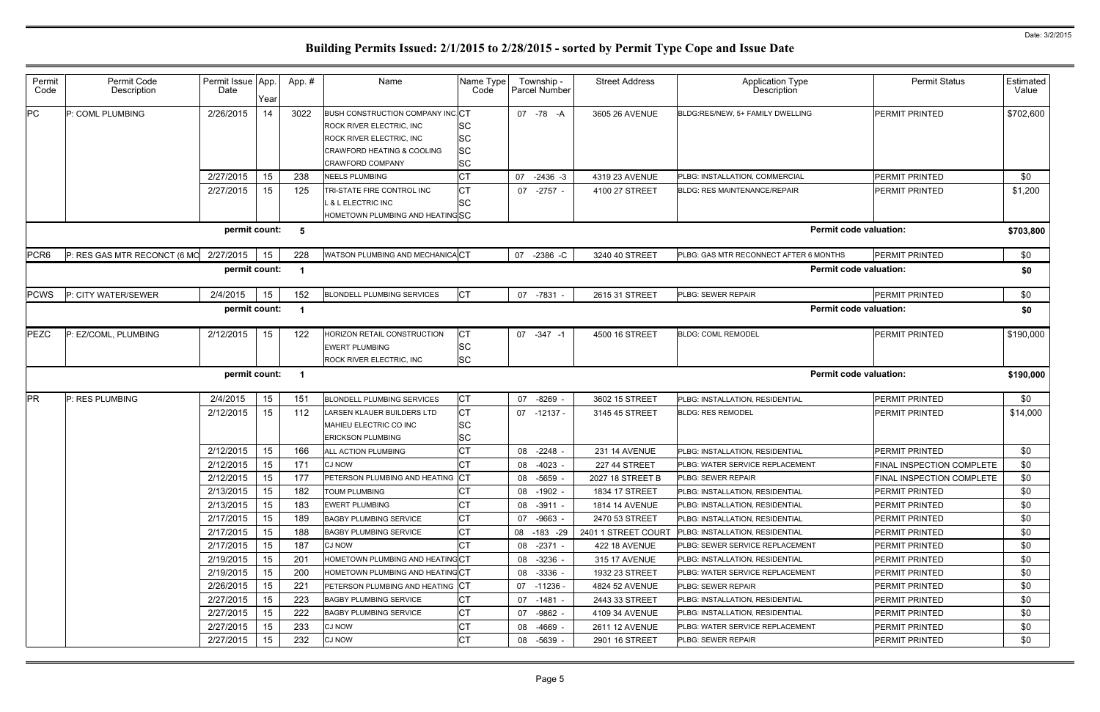| Permit<br>Code   | Permit Code<br>Description             | Permit Issue App.<br>Date | Year | App. # | Name                                                                                                                                                                                | Name Type<br>Code                                | Township -<br>Parcel Number | <b>Street Address</b> | <b>Application Type</b><br>Description | <b>Permit Status</b>      | Estimated<br>Value |
|------------------|----------------------------------------|---------------------------|------|--------|-------------------------------------------------------------------------------------------------------------------------------------------------------------------------------------|--------------------------------------------------|-----------------------------|-----------------------|----------------------------------------|---------------------------|--------------------|
| PC               | P: COML PLUMBING                       | 2/26/2015                 | 14   | 3022   | <b>BUSH CONSTRUCTION COMPANY INC CT</b><br><b>ROCK RIVER ELECTRIC, INC.</b><br><b>ROCK RIVER ELECTRIC, INC.</b><br><b>CRAWFORD HEATING &amp; COOLING</b><br><b>CRAWFORD COMPANY</b> | <b>SC</b><br><b>SC</b><br><b>SC</b><br><b>SC</b> | 07 - 78 - A                 | 3605 26 AVENUE        | BLDG:RES/NEW, 5+ FAMILY DWELLING       | PERMIT PRINTED            | \$702,600          |
|                  |                                        | 2/27/2015                 | 15   | 238    | <b>NEELS PLUMBING</b>                                                                                                                                                               | СT                                               | 07 -2436 -3                 | 4319 23 AVENUE        | PLBG: INSTALLATION, COMMERCIAL         | PERMIT PRINTED            | \$0                |
|                  |                                        | 2/27/2015                 | 15   | 125    | TRI-STATE FIRE CONTROL INC                                                                                                                                                          | СT                                               | 07 -2757 -                  | 4100 27 STREET        | <b>BLDG: RES MAINTENANCE/REPAIR</b>    | PERMIT PRINTED            | \$1,200            |
|                  |                                        |                           |      |        | L & L ELECTRIC INC                                                                                                                                                                  | <b>SC</b>                                        |                             |                       |                                        |                           |                    |
|                  |                                        | permit count:             |      |        | HOMETOWN PLUMBING AND HEATINGSC                                                                                                                                                     |                                                  |                             |                       | <b>Permit code valuation:</b>          |                           |                    |
|                  |                                        |                           |      | -5     |                                                                                                                                                                                     |                                                  |                             |                       |                                        |                           | \$703,800          |
| PCR <sub>6</sub> | P: RES GAS MTR RECONCT (6 MO 2/27/2015 |                           | 15   | 228    | WATSON PLUMBING AND MECHANICACT                                                                                                                                                     |                                                  | 07 -2386 -C                 | 3240 40 STREET        | PLBG: GAS MTR RECONNECT AFTER 6 MONTHS | <b>PERMIT PRINTED</b>     | \$0                |
|                  |                                        | permit count:             |      |        |                                                                                                                                                                                     |                                                  |                             |                       | <b>Permit code valuation:</b>          |                           | \$0                |
| <b>PCWS</b>      | P: CITY WATER/SEWER                    | 2/4/2015                  | 15   | 152    | <b>BLONDELL PLUMBING SERVICES</b>                                                                                                                                                   | <b>CT</b>                                        | 07 -7831 -                  | 2615 31 STREET        | PLBG: SEWER REPAIR                     | PERMIT PRINTED            | \$0                |
|                  |                                        | permit count:             |      |        |                                                                                                                                                                                     |                                                  |                             |                       | <b>Permit code valuation:</b>          |                           | \$0                |
| PEZC             | P: EZ/COML, PLUMBING                   | 2/12/2015                 | 15   | 122    | HORIZON RETAIL CONSTRUCTION                                                                                                                                                         | <b>CT</b>                                        | 07 -347 -1                  | 4500 16 STREET        | <b>BLDG: COML REMODEL</b>              | <b>PERMIT PRINTED</b>     | \$190,000          |
|                  |                                        |                           |      |        | <b>EWERT PLUMBING</b>                                                                                                                                                               | <b>SC</b>                                        |                             |                       |                                        |                           |                    |
|                  |                                        |                           |      |        | ROCK RIVER ELECTRIC, INC                                                                                                                                                            | <b>SC</b>                                        |                             |                       |                                        |                           |                    |
|                  |                                        | permit count:             |      | - 1    |                                                                                                                                                                                     |                                                  |                             |                       | <b>Permit code valuation:</b>          |                           | \$190,000          |
| <b>PR</b>        | P: RES PLUMBING                        | 2/4/2015                  | 15   | 151    | <b>BLONDELL PLUMBING SERVICES</b>                                                                                                                                                   | <b>CT</b>                                        | 07 -8269                    | 3602 15 STREET        | PLBG: INSTALLATION, RESIDENTIAL        | <b>PERMIT PRINTED</b>     | \$0                |
|                  |                                        | 2/12/2015                 | 15   | 112    | LARSEN KLAUER BUILDERS LTD                                                                                                                                                          | <b>CT</b>                                        | 07 -12137 -                 | 3145 45 STREET        | <b>BLDG: RES REMODEL</b>               | PERMIT PRINTED            | \$14,000           |
|                  |                                        |                           |      |        | MAHIEU ELECTRIC CO INC                                                                                                                                                              | <b>SC</b>                                        |                             |                       |                                        |                           |                    |
|                  |                                        |                           |      |        | <b>ERICKSON PLUMBING</b>                                                                                                                                                            | <b>SC</b>                                        |                             |                       |                                        |                           |                    |
|                  |                                        | 2/12/2015                 | 15   | 166    | ALL ACTION PLUMBING                                                                                                                                                                 | СT                                               | 08 -2248                    | <b>231 14 AVENUE</b>  | PLBG: INSTALLATION, RESIDENTIAL        | PERMIT PRINTED            | \$0                |
|                  |                                        | 2/12/2015                 | 15   | 171    | <b>CJ NOW</b>                                                                                                                                                                       | СT                                               | $-4023$<br>08               | 227 44 STREET         | PLBG: WATER SERVICE REPLACEMENT        | FINAL INSPECTION COMPLETE | \$0                |
|                  |                                        | 2/12/2015                 | 15   | 177    | PETERSON PLUMBING AND HEATING CT                                                                                                                                                    |                                                  | 08 -5659 -                  | 2027 18 STREET B      | <b>PLBG: SEWER REPAIR</b>              | FINAL INSPECTION COMPLETE | \$0                |
|                  |                                        | 2/13/2015                 | 15   | 182    | TOUM PLUMBING                                                                                                                                                                       |                                                  | 08 -1902 -                  | 1834 17 STREET        | PLBG: INSTALLATION, RESIDENTIAL        | PERMIT PRINTED            | \$0                |
|                  |                                        | 2/13/2015                 | 15   | 183    | <b>EWERT PLUMBING</b>                                                                                                                                                               | СT                                               | 08 -3911 -                  | <b>1814 14 AVENUE</b> | PLBG: INSTALLATION, RESIDENTIAL        | <b>PERMIT PRINTED</b>     | \$0                |
|                  |                                        | 2/17/2015                 | 15   | 189    | <b>BAGBY PLUMBING SERVICE</b>                                                                                                                                                       | СT                                               | 07 -9663 -                  | 2470 53 STREET        | PLBG: INSTALLATION, RESIDENTIAL        | PERMIT PRINTED            | \$0                |
|                  |                                        | 2/17/2015                 | 15   | 188    | <b>BAGBY PLUMBING SERVICE</b>                                                                                                                                                       | СT                                               | 08 -183 -29                 | 2401 1 STREET COURT   | PLBG: INSTALLATION, RESIDENTIAL        | <b>PERMIT PRINTED</b>     | \$0                |
|                  |                                        | 2/17/2015                 | 15   | 187    | <b>CJ NOW</b>                                                                                                                                                                       |                                                  | 08 -2371 -                  | <b>422 18 AVENUE</b>  | PLBG: SEWER SERVICE REPLACEMENT        | PERMIT PRINTED            | \$0                |
|                  |                                        | 2/19/2015                 | 15   | 201    | HOMETOWN PLUMBING AND HEATING CT                                                                                                                                                    |                                                  | 08 -3236 -                  | 315 17 AVENUE         | PLBG: INSTALLATION, RESIDENTIAL        | <b>PERMIT PRINTED</b>     | \$0                |
|                  |                                        | 2/19/2015                 | 15   | 200    | HOMETOWN PLUMBING AND HEATING CT                                                                                                                                                    |                                                  | 08 -3336 -                  | 1932 23 STREET        | PLBG: WATER SERVICE REPLACEMENT        | PERMIT PRINTED            | \$0                |
|                  |                                        | 2/26/2015                 | 15   | 221    | PETERSON PLUMBING AND HEATING                                                                                                                                                       | Iст                                              | 07 -11236 -                 | 4824 52 AVENUE        | PLBG: SEWER REPAIR                     | <b>PERMIT PRINTED</b>     | \$0                |
|                  |                                        | 2/27/2015                 | 15   | 223    | <b>BAGBY PLUMBING SERVICE</b>                                                                                                                                                       | СT                                               | 07 -1481 -                  | 2443 33 STREET        | PLBG: INSTALLATION, RESIDENTIAL        | <b>PERMIT PRINTED</b>     | \$0                |
|                  |                                        | 2/27/2015                 | 15   | 222    | <b>BAGBY PLUMBING SERVICE</b>                                                                                                                                                       | СT                                               | 07 -9862 -                  | 4109 34 AVENUE        | PLBG: INSTALLATION, RESIDENTIAL        | <b>PERMIT PRINTED</b>     | \$0                |
|                  |                                        | 2/27/2015                 | 15   | 233    | <b>CJ NOW</b>                                                                                                                                                                       | СT                                               | -4669 -<br>08               | 2611 12 AVENUE        | PLBG: WATER SERVICE REPLACEMENT        | <b>PERMIT PRINTED</b>     | \$0                |
|                  |                                        | 2/27/2015                 | 15   | 232    | <b>CJ NOW</b>                                                                                                                                                                       | СT                                               | 08 -5639 -                  | 2901 16 STREET        | PLBG: SEWER REPAIR                     | <b>PERMIT PRINTED</b>     | \$0                |